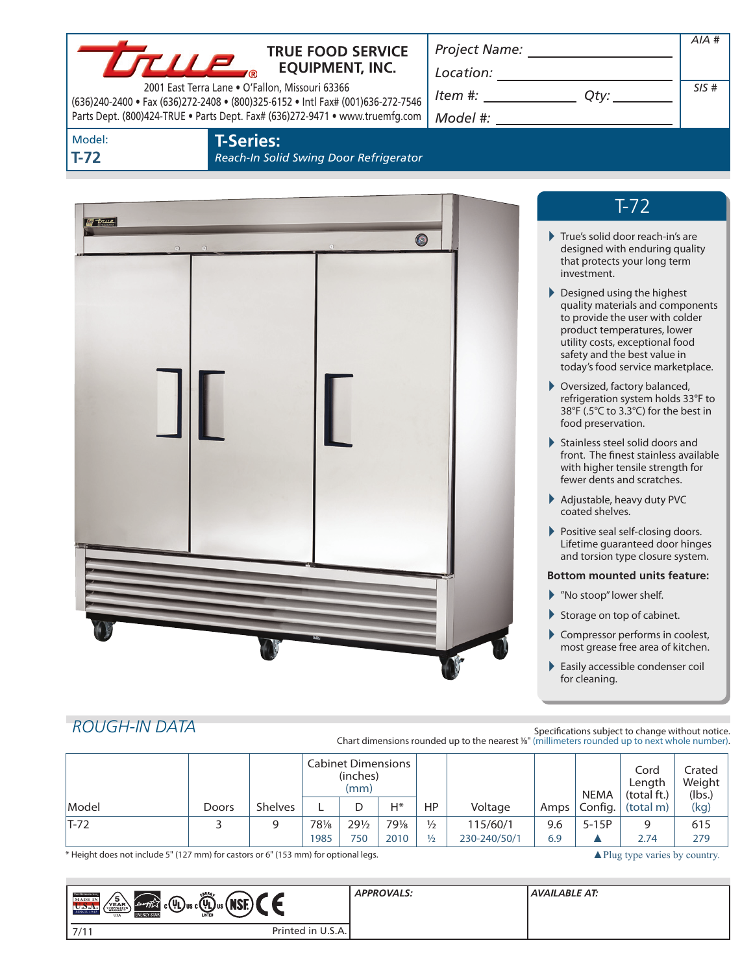| <b>THE PROPER SERVICE FOOD SERVICE</b><br>2001 East Terra Lane . O'Fallon, Missouri 63366<br>(636)240-2400 · Fax (636)272-2408 · (800)325-6152 · Intl Fax# (001)636-272-7546<br>Parts Dept. (800)424-TRUE . Parts Dept. Fax# (636)272-9471 . www.truemfg.com<br>Model:<br><b>T-Series:</b><br>$T-72$ | <b>TRUE FOOD SERVICE</b><br>Reach-In Solid Swing Door Refrigerator | Project Name: ______________________<br>$\begin{picture}(150,10) \put(0,0){\vector(1,0){100}} \put(15,0){\vector(1,0){100}} \put(15,0){\vector(1,0){100}} \put(15,0){\vector(1,0){100}} \put(15,0){\vector(1,0){100}} \put(15,0){\vector(1,0){100}} \put(15,0){\vector(1,0){100}} \put(15,0){\vector(1,0){100}} \put(15,0){\vector(1,0){100}} \put(15,0){\vector(1,0){100}} \put(15,0){\vector(1,0){100}}$<br>$Item #: __________ Qty: __________$                                                                                                                                                                                                                                                                                                                                                                                                                                                                                                                                                                                                    | $AIA$ #<br>SIS# |
|------------------------------------------------------------------------------------------------------------------------------------------------------------------------------------------------------------------------------------------------------------------------------------------------------|--------------------------------------------------------------------|-------------------------------------------------------------------------------------------------------------------------------------------------------------------------------------------------------------------------------------------------------------------------------------------------------------------------------------------------------------------------------------------------------------------------------------------------------------------------------------------------------------------------------------------------------------------------------------------------------------------------------------------------------------------------------------------------------------------------------------------------------------------------------------------------------------------------------------------------------------------------------------------------------------------------------------------------------------------------------------------------------------------------------------------------------|-----------------|
| <del>m true</del>                                                                                                                                                                                                                                                                                    | $\odot$                                                            | $T-72$<br>True's solid door reach-in's are<br>designed with enduring quality<br>that protects your long term<br>investment.<br>Designed using the highest<br>quality materials and components<br>to provide the user with colder<br>product temperatures, lower<br>utility costs, exceptional food<br>safety and the best value in<br>today's food service marketplace.<br>▶ Oversized, factory balanced,<br>refrigeration system holds 33°F to<br>38°F (.5°C to 3.3°C) for the best in<br>food preservation.<br>Stainless steel solid doors and<br>front. The finest stainless available<br>with higher tensile strength for<br>fewer dents and scratches.<br>Adjustable, heavy duty PVC<br>coated shelves.<br>Positive seal self-closing doors.<br>Lifetime guaranteed door hinges<br>and torsion type closure system.<br><b>Bottom mounted units feature:</b><br>Mo stoop" lower shelf.<br>Storage on top of cabinet.<br>Compressor performs in coolest,<br>most grease free area of kitchen.<br>Easily accessible condenser coil<br>for cleaning. |                 |
| <b>ROUGH-IN DATA</b>                                                                                                                                                                                                                                                                                 |                                                                    | Specifications subject to change without notice.                                                                                                                                                                                                                                                                                                                                                                                                                                                                                                                                                                                                                                                                                                                                                                                                                                                                                                                                                                                                      |                 |

Specifications subject to change without notice. Chart dimensions rounded up to the nearest <sup>1</sup>/8" (millimeters rounded up to next whole number).

|                                                                                     |              |                | <b>Cabinet Dimensions</b><br>(inches)<br>(mm) |                 |       |               |                                          | <b>NEMA</b> | Cord<br>Length<br>(total ft.) | Crated<br>Weight<br>(lbs.) |      |
|-------------------------------------------------------------------------------------|--------------|----------------|-----------------------------------------------|-----------------|-------|---------------|------------------------------------------|-------------|-------------------------------|----------------------------|------|
| Model                                                                               | <b>Doors</b> | <b>Shelves</b> |                                               |                 | $H^*$ | HP            | Voltage                                  | Amps        | Config.                       | (total m)                  | (kg) |
| T-72                                                                                |              | 9              | 781/8                                         | $29\frac{1}{2}$ | 791/8 | $\frac{1}{2}$ | 115/60/1                                 | 9.6         | $5-15P$                       |                            | 615  |
|                                                                                     |              |                | 1985                                          | 750             | 2010  | $\frac{1}{2}$ | 230-240/50/1                             | 6.9         |                               | 2.74                       | 279  |
| * Height does not include 5" (127 mm) for castors or 6" (153 mm) for optional legs. |              |                |                                               |                 |       |               | $\triangle$ Plug type varies by country. |             |                               |                            |      |

| ENERG,<br><b>THE REFERENCE</b><br>15<br><b>MADE IN</b><br>/мог<br>$\left( \frac{\partial u}{\partial x} + \frac{\partial u}{\partial y} \right)$ $\left( \frac{\partial u}{\partial y} \right)$ $\left( \frac{\partial u}{\partial x} \right)$ $\left( \frac{\partial u}{\partial y} \right)$ $\left( \frac{\partial u}{\partial y} \right)$<br>YEAR<br>SINCE 1945<br>поі.<br><b>LISTED</b><br><b>ENERGY STAF</b><br><b>USA</b> | <b>APPROVALS:</b> | <b>AVAILABLE AT:</b> |
|---------------------------------------------------------------------------------------------------------------------------------------------------------------------------------------------------------------------------------------------------------------------------------------------------------------------------------------------------------------------------------------------------------------------------------|-------------------|----------------------|
| Printed in U.S.A.<br>7/11                                                                                                                                                                                                                                                                                                                                                                                                       |                   |                      |